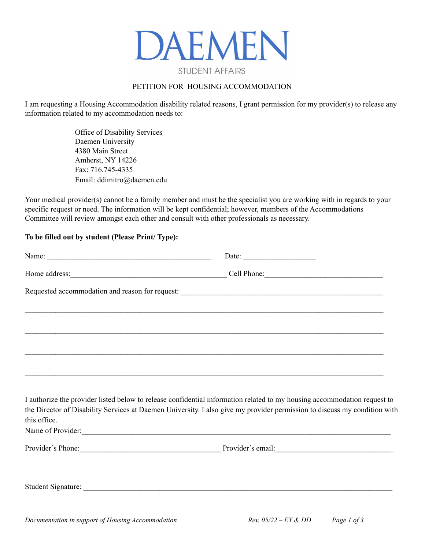

#### PETITION FOR HOUSING ACCOMMODATION

I am requesting a Housing Accommodation disability related reasons, I grant permission for my provider(s) to release any information related to my accommodation needs to:

> Office of Disability Services Daemen University 4380 Main Street Amherst, NY 14226 Fax: 716.745-4335 Email: ddimitro@daemen.edu

Your medical provider(s) cannot be a family member and must be the specialist you are working with in regards to your specific request or need. The information will be kept confidential; however, members of the Accommodations Committee will review amongst each other and consult with other professionals as necessary.

#### **To be filled out by student (Please Print/ Type):**

| Home address: Cell Phone: Cell Phone:                                            |                                                                                                                                                                                                                                                       |
|----------------------------------------------------------------------------------|-------------------------------------------------------------------------------------------------------------------------------------------------------------------------------------------------------------------------------------------------------|
|                                                                                  |                                                                                                                                                                                                                                                       |
| ,我们也不会有什么?""我们的人,我们也不会有什么?""我们的人,我们也不会有什么?""我们的人,我们也不会有什么?""我们的人,我们也不会有什么?""我们的人 |                                                                                                                                                                                                                                                       |
|                                                                                  |                                                                                                                                                                                                                                                       |
|                                                                                  |                                                                                                                                                                                                                                                       |
|                                                                                  |                                                                                                                                                                                                                                                       |
|                                                                                  |                                                                                                                                                                                                                                                       |
|                                                                                  | I authorize the provider listed below to release confidential information related to my housing accommodation request to<br>the Director of Disability Services at Daemen University. I also give my provider permission to discuss my condition with |
| this office.                                                                     |                                                                                                                                                                                                                                                       |
| Name of Provider:                                                                |                                                                                                                                                                                                                                                       |
|                                                                                  | Provider's Phone: Provider's email: Provider's email:                                                                                                                                                                                                 |
|                                                                                  |                                                                                                                                                                                                                                                       |
|                                                                                  |                                                                                                                                                                                                                                                       |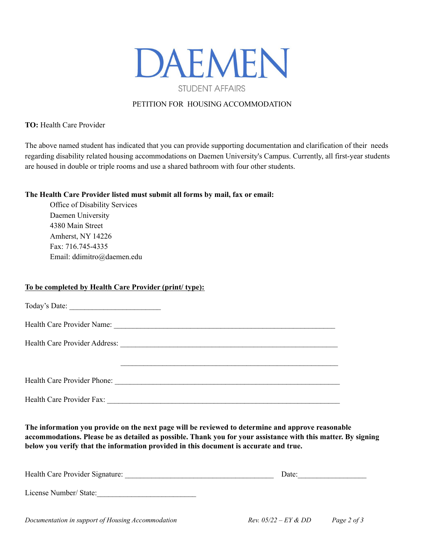

### PETITION FOR HOUSING ACCOMMODATION

**TO:** Health Care Provider

The above named student has indicated that you can provide supporting documentation and clarification of their needs regarding disability related housing accommodations on Daemen University's Campus. Currently, all first-year students are housed in double or triple rooms and use a shared bathroom with four other students.

#### **The Health Care Provider listed must submit all forms by mail, fax or email:**

Office of Disability Services Daemen University 4380 Main Street Amherst, NY 14226 Fax: 716.745-4335 Email: ddimitro@daemen.edu

## **To be completed by Health Care Provider (print/ type):**

Today's Date: \_\_\_\_\_\_\_\_\_\_\_\_\_\_\_\_\_\_\_\_\_\_\_\_ Health Care Provider Name: \_\_\_\_\_\_\_\_\_\_\_\_\_\_\_\_\_\_\_\_\_\_\_\_\_\_\_\_\_\_\_\_\_\_\_\_\_\_\_\_\_\_\_\_\_\_\_\_\_\_\_\_\_\_\_\_\_\_ Health Care Provider Address: \_\_\_\_\_\_\_\_\_\_\_\_\_\_\_\_\_\_\_\_\_\_\_\_\_\_\_\_\_\_\_\_\_\_\_\_\_\_\_\_\_\_\_\_\_\_\_\_\_\_\_\_\_\_\_\_\_  $\mathcal{L}_\text{max}$  and the contract of the contract of the contract of the contract of the contract of the contract of Health Care Provider Phone: \_\_\_\_\_\_\_\_\_\_\_\_\_\_\_\_\_\_\_\_\_\_\_\_\_\_\_\_\_\_\_\_\_\_\_\_\_\_\_\_\_\_\_\_\_\_\_\_\_\_\_\_\_\_\_\_\_\_\_

Health Care Provider Fax:

**The information you provide on the next page will be reviewed to determine and approve reasonable** accommodations. Please be as detailed as possible. Thank you for your assistance with this matter. By signing **below you verify that the information provided in this document is accurate and true.**

| Health Care Provider Signature: | Date: |
|---------------------------------|-------|
| License Number/ State:          |       |